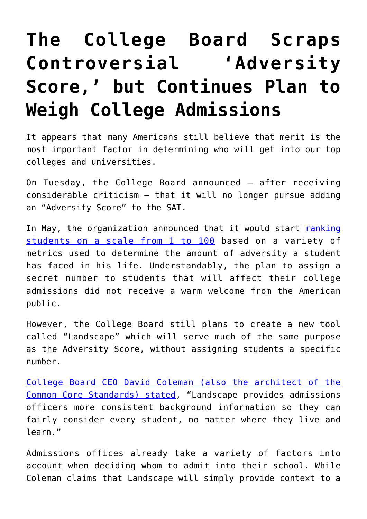## **[The College Board Scraps](https://intellectualtakeout.org/2019/08/the-college-board-scraps-controversial-adversity-score-but-continues-plan-to-weigh-college-admissions/) [Controversial 'Adversity](https://intellectualtakeout.org/2019/08/the-college-board-scraps-controversial-adversity-score-but-continues-plan-to-weigh-college-admissions/) [Score,' but Continues Plan to](https://intellectualtakeout.org/2019/08/the-college-board-scraps-controversial-adversity-score-but-continues-plan-to-weigh-college-admissions/) [Weigh College Admissions](https://intellectualtakeout.org/2019/08/the-college-board-scraps-controversial-adversity-score-but-continues-plan-to-weigh-college-admissions/)**

It appears that many Americans still believe that merit is the most important factor in determining who will get into our top colleges and universities.

On Tuesday, the College Board announced – after receiving considerable criticism – that it will no longer pursue adding an "Adversity Score" to the SAT.

In May, the organization announced that it would start [ranking](https://www.foxnews.com/opinion/mary-clare-amselem-sat-adversity-score-isnt-what-america-is-about) [students on a scale from 1 to 100](https://www.foxnews.com/opinion/mary-clare-amselem-sat-adversity-score-isnt-what-america-is-about) based on a variety of metrics used to determine the amount of adversity a student has faced in his life. Understandably, the plan to assign a secret number to students that will affect their college admissions did not receive a warm welcome from the American public.

However, the College Board still plans to create a new tool called "Landscape" which will serve much of the same purpose as the Adversity Score, without assigning students a specific number.

[College Board CEO David Coleman \(also the architect of the](https://www.wsj.com/articles/college-board-drops-plans-for-sat-student-adversity-scores-11566928181) [Common Core Standards\) stated](https://www.wsj.com/articles/college-board-drops-plans-for-sat-student-adversity-scores-11566928181), "Landscape provides admissions officers more consistent background information so they can fairly consider every student, no matter where they live and learn."

Admissions offices already take a variety of factors into account when deciding whom to admit into their school. While Coleman claims that Landscape will simply provide context to a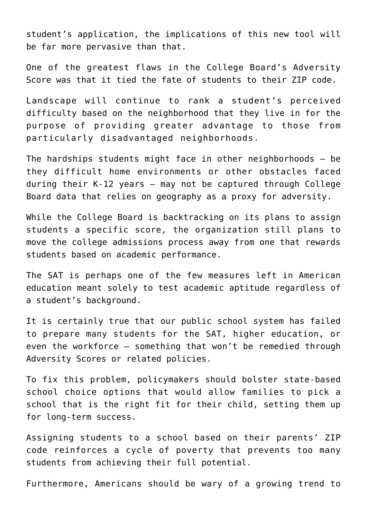student's application, the implications of this new tool will be far more pervasive than that.

One of the greatest flaws in the College Board's Adversity Score was that it tied the fate of students to their ZIP code.

Landscape will continue to rank a student's perceived difficulty based on the neighborhood that they live in for the purpose of providing greater advantage to those from particularly disadvantaged neighborhoods.

The hardships students might face in other neighborhoods – be they difficult home environments or other obstacles faced during their K-12 years – may not be captured through College Board data that relies on geography as a proxy for adversity.

While the College Board is backtracking on its plans to assign students a specific score, the organization still plans to move the college admissions process away from one that rewards students based on academic performance.

The SAT is perhaps one of the few measures left in American education meant solely to test academic aptitude regardless of a student's background.

It is certainly true that our public school system has failed to prepare many students for the SAT, higher education, or even the workforce – something that won't be remedied through Adversity Scores or related policies.

To fix this problem, policymakers should bolster state-based school choice options that would allow families to pick a school that is the right fit for their child, setting them up for long-term success.

Assigning students to a school based on their parents' ZIP code reinforces a cycle of poverty that prevents too many students from achieving their full potential.

Furthermore, Americans should be wary of a growing trend to